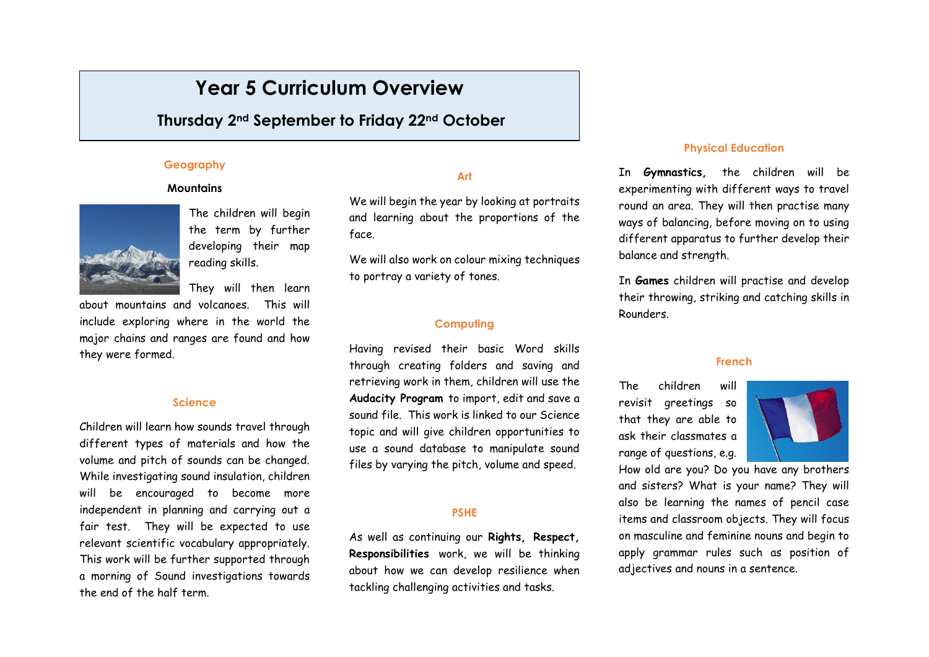# **Year 5 Curriculum Overview**

# **Thursday 2nd September to Friday 22nd October**

# **Geography**

### **Mountains**



The children will begin the term by further developing their map reading skills.

They will then learn

about mountains and volcanoes. This will include exploring where in the world the major chains and ranges are found and how they were formed.

#### **Science**

Children will learn how sounds travel through different types of materials and how the volume and pitch of sounds can be changed. While investigating sound insulation, children will be encouraged to become more independent in planning and carrying out a fair test. They will be expected to use relevant scientific vocabulary appropriately. This work will be further supported through a morning of Sound investigations towards the end of the half term.

## **Art**

We will begin the year by looking at portraits and learning about the proportions of the face.

We will also work on colour mixing techniques to portray a variety of tones.

#### **Computing**

Having revised their basic Word skills through creating folders and saving and retrieving work in them, children will use the **Audacity Program** to import, edit and save a sound file. This work is linked to our Science topic and will give children opportunities to use a sound database to manipulate sound files by varying the pitch, volume and speed.

### **PSHE**

As well as continuing our **Rights, Respect, Responsibilities** work, we will be thinking about how we can develop resilience when tackling challenging activities and tasks.

#### **Physical Education**

In **Gymnastics,** the children will be experimenting with different ways to travel round an area. They will then practise many ways of balancing, before moving on to using different apparatus to further develop their balance and strength.

In **Games** children will practise and develop their throwing, striking and catching skills in Rounders.

#### **French**

The children will revisit greetings so that they are able to ask their classmates a range of questions, e.g.



How old are you? Do you have any brothers and sisters? What is your name? They will also be learning the names of pencil case items and classroom objects. They will focus on masculine and feminine nouns and begin to apply grammar rules such as position of adjectives and nouns in a sentence.